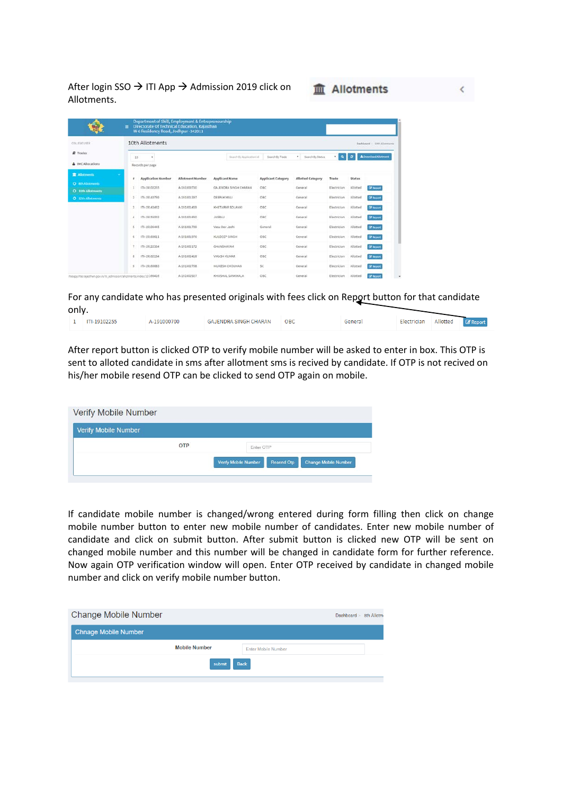After login SSO  $\rightarrow$  ITI App  $\rightarrow$  Admission 2019 click on Allotments.

|                                       | Department of Skill, Employment & Entrepreneurship<br>Directorate Of Technical Education, Rajasthan<br>$\equiv$<br>W-6 Residency Road, Jodhpur-342011 |                  |                           |                           |                          |             |               |                             |
|---------------------------------------|-------------------------------------------------------------------------------------------------------------------------------------------------------|------------------|---------------------------|---------------------------|--------------------------|-------------|---------------|-----------------------------|
| COLLEGE USER                          | 10th Allotments                                                                                                                                       |                  |                           |                           |                          |             |               | Dashboard - 10th Allotments |
| <b>R</b> Trades                       | 10<br>٠                                                                                                                                               |                  | Search By Application Id. | Search by Trade           | * Search By Status       | $\cdot$ 0   | ۰             | <b>A</b> Download Allotment |
| A IMC Allocations                     | Records per page                                                                                                                                      |                  |                           |                           |                          |             |               |                             |
| <b>R</b> Allotments                   | ×<br><b>Application Number</b><br>$\overline{a}$                                                                                                      | Allotment Number | <b>Applicant Name</b>     | <b>Applicant Category</b> | <b>Allotted Category</b> | Trade       | <b>Status</b> |                             |
| O ath Allotments<br>O 10th Allotments | iTi-19102255                                                                                                                                          | A-191000700      | GAJENDRA SINGH CHARAN     | OBC                       | General                  | Electrician | Allotted      | <b>Ef</b> Report            |
| <b>O</b> 12th Allotments              | $\overline{2}$<br>ITI-19140759                                                                                                                        | A-191001397      | DEEPAK MALI               | <b>OBC</b>                | General                  | Electrician | Alliotted     | <b>DE Report</b>            |
|                                       | ITI-19143462<br>з                                                                                                                                     | A-191001459      | KHETARAR SOLANKI          | OBC                       | General                  | Electrician | Allotted      | <b>CP Report</b>            |
|                                       | ITI-19155002<br>$\Delta$                                                                                                                              | A-191001650      | <b>JASRAJ</b>             | OBC                       | General                  | Electrician | Allotted      | <b><i>Cit Geport</i></b>    |
|                                       | 5<br>ITI-19106445                                                                                                                                     | A-191001709      | Vasu Dev Joshi            | General                   | General                  | Electrician | Allotted      | <b>Cif Report</b>           |
|                                       | ITI-19160611<br>6                                                                                                                                     | A-191001976      | KULDEEP SINGH             | OBC                       | General                  | Electrician | Alliotted     | <b>Of Report</b>            |
|                                       | ITI-19122334<br>×                                                                                                                                     | A-191002172      | GHANSHAYAM                | OBC                       | General                  | Electrician | Allotted      | <b>CE liegost</b>           |
|                                       | ITI-19162134<br>$\overline{a}$                                                                                                                        | A-191002418      | VIKASH KUMAR              | OBC                       | General                  | Electrician | Allotted      | <b>Cif Report</b>           |
|                                       | ITI-19144483<br>$\alpha$                                                                                                                              | A-191002768      | MUKESH CHOUHAN            | ŠĈ                        | General                  | Electrician | Allotted      | <b>Dr Report</b>            |
|                                       | hteapphte.rajasthan.gov.in/iti_admission/allotments/index/10.166416                                                                                   | A-191002927      | KHUSHAL SANKHALA          | OBC                       | General                  | Electrician | Allotted      | <b>D</b> Report             |

For any candidate who has presented originals with fees click on Report button for that candidate only.

**血 Allotments** 

|  | ITI-19102255 | A-191000700 | GAJENDRA SINGH CHARAN | OBC | General | Electrician | Allotted | <b>Z</b> Report |
|--|--------------|-------------|-----------------------|-----|---------|-------------|----------|-----------------|
|--|--------------|-------------|-----------------------|-----|---------|-------------|----------|-----------------|

After report button is clicked OTP to verify mobile number will be asked to enter in box. This OTP is sent to alloted candidate in sms after allotment sms is recived by candidate. If OTP is not recived on his/her mobile resend OTP can be clicked to send OTP again on mobile.

| <b>Verify Mobile Number</b> |            |                      |            |                             |
|-----------------------------|------------|----------------------|------------|-----------------------------|
| <b>Verify Mobile Number</b> |            |                      |            |                             |
|                             | <b>OTP</b> | Enter OTP            |            |                             |
|                             |            | Verify Mobile Number | Resend Otp | <b>Change Mobile Number</b> |

If candidate mobile number is changed/wrong entered during form filling then click on change mobile number button to enter new mobile number of candidates. Enter new mobile number of candidate and click on submit button. After submit button is clicked new OTP will be sent on changed mobile number and this number will be changed in candidate form for further reference. Now again OTP verification window will open. Enter OTP received by candidate in changed mobile number and click on verify mobile number button.

| <b>Change Mobile Number</b> |                      |                            | Dashboard > 8th Allotm |  |  |  |
|-----------------------------|----------------------|----------------------------|------------------------|--|--|--|
| <b>Chnage Mobile Number</b> |                      |                            |                        |  |  |  |
|                             | <b>Mobile Number</b> | <b>Enter Mobile Number</b> |                        |  |  |  |
| <b>Back</b><br>submit       |                      |                            |                        |  |  |  |
|                             |                      |                            |                        |  |  |  |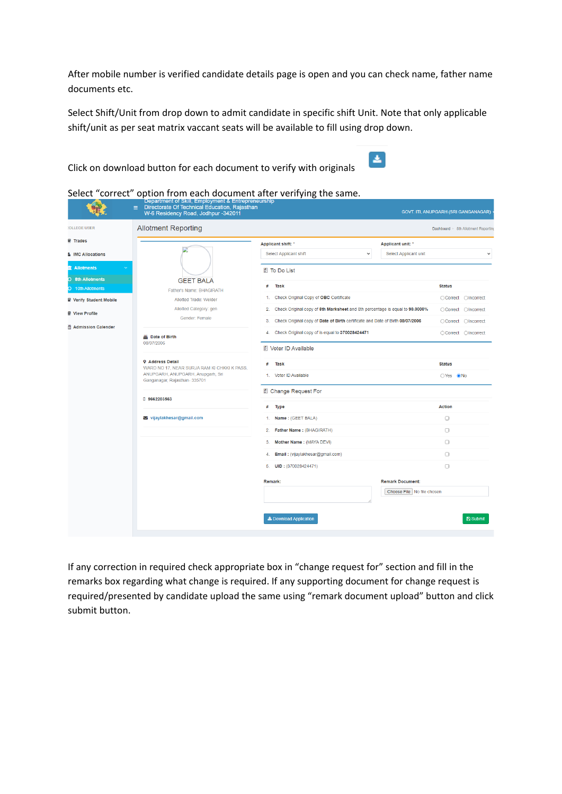After mobile number is verified candidate details page is open and you can check name, father name documents etc.

Select Shift/Unit from drop down to admit candidate in specific shift Unit. Note that only applicable shift/unit as per seat matrix vaccant seats will be available to fill using drop down.

Click on download button for each document to verify with originals



**GANAGAR** tment Reportin

 $\bigcirc$ Yes  $\bigcirc$ No

Action

 $\Box$  $\Box$ 

 $\Box$ 

 $\Box$ 

 $\Box$ 

 $B$  Su

**Remark Document:** Choose File No file chosen

|                        | Deparation of Okin, Employment & Entrepreneuronip<br>Directorate Of Technical Education, Rajasthan<br>$\equiv$<br>W-6 Residency Road, Jodhpur -342011 |                                                                                                | GOVT. ITI, ANUPGARH (SRI GANGANAGA |
|------------------------|-------------------------------------------------------------------------------------------------------------------------------------------------------|------------------------------------------------------------------------------------------------|------------------------------------|
| <b>OLLEGE USER</b>     | <b>Allotment Reporting</b>                                                                                                                            |                                                                                                | Dashboard > 8th Allotment Rep      |
| <b>7</b> Trades        |                                                                                                                                                       | Applicant shift: *<br><b>Applicant unit:</b> *                                                 |                                    |
| <b>IMC Allocations</b> |                                                                                                                                                       | Select Applicant shift<br>Select Applicant unit<br>$\checkmark$                                |                                    |
| <b>Allotments</b>      |                                                                                                                                                       | <b>■ To Do List</b>                                                                            |                                    |
| <b>8th Allotments</b>  | <b>GEET BALA</b>                                                                                                                                      | #<br>Task                                                                                      | <b>Status</b>                      |
| 10th Allotments        | <b>Father's Name: BHAGIRATH</b>                                                                                                                       |                                                                                                |                                    |
| Verify Student Mobile  | Allotted Trade: Welder                                                                                                                                | 1. Check Original Copy of OBC Certificate                                                      | ○Correct ○Incorrect                |
| View Profile           | Allotted Category: gen                                                                                                                                | Check Original copy of 8th Marksheet and 8th percentage is equal to 90.0000%<br>2 <sup>1</sup> | OIncorrect<br>○ Correct            |
| Admission Calender     | Gender: Female                                                                                                                                        | Check Original copy of Date of Birth certificate and Date of Birth 08/07/2006<br>3.            | ○Correct ○Incorrect                |
|                        | 丛 Date of Birth                                                                                                                                       | Check Original copy of is equal to 370028424471<br>4.                                          | ○ Correct<br><b>OIncorrect</b>     |
|                        | 08/07/2006                                                                                                                                            | 图 Voter ID Available                                                                           |                                    |
|                        | <b>9 Address Detail</b><br>WADD NO 17 NEAD CLID IA DAM KLOUKKLK DAGG.                                                                                 | #<br>Task                                                                                      | <b>Status</b>                      |

1. Voter ID Available

# Type

Remark:

图 Change Request For

1. Name: (GEET BALA)

5. **UID:**  $(370028424471)$ 

Let Download Application

2. Father Name: (BHAGIRATH) 3. Mother Name: (MAYA DEVI)

4 Email: (viiavlakhesar@gmail.com)

Select "correct" option from each document after verifying the same.

ANUPGARH, ANUPGARH, Anupgarh, Sri

Ganganagar, Rajasthan-335701

vijaylakhesar@gmail.com

0 9662203563

If any correction in required check appropriate box in "change request for" section and fill in the remarks box regarding what change is required. If any supporting document for change request is required/presented by candidate upload the same using "remark document upload" button and click submit button.